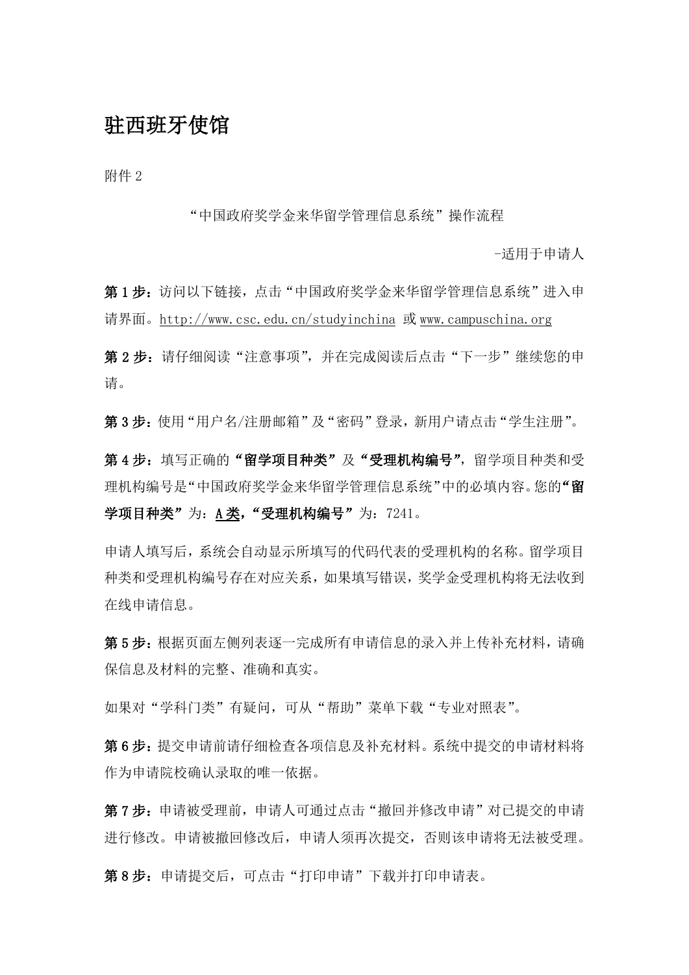## 驻西班牙使馆

附件 2

"中国政府奖学金来华留学管理信息系统"操作流程

-适用于申请人

第1步:访问以下链接,点击"中国政府奖学金来华留学管理信息系统"进入申 请界面。[http://www.csc.edu.cn/studyinchina](http://www.csc.edu.cn/laihua) 或 [www.campuschina.org](http://www.campuschina.org/)

第2步:请仔细阅读"注意事项",并在完成阅读后点击"下一步"继续您的申 请。

第3步:使用"用户名/注册邮箱"及"密码"登录,新用户请点击"学生注册"。

第4步:填写正确的"留学项目种类"及"受理机构编号",留学项目种类和受 理机构编号是"中国政府奖学金来华留学管理信息系统"中的必填内容。您的"留 学项目种类"为: A 类, "受理机构编号"为: 7241。

申请人填写后,系统会自动显示所填写的代码代表的受理机构的名称。留学项目 种类和受理机构编号存在对应关系,如果填写错误,奖学金受理机构将无法收到 在线申请信息。

第 5 步:根据页面左侧列表逐一完成所有申请信息的录入并上传补充材料,请确 保信息及材料的完整、准确和真实。

如果对"学科门类"有疑问,可从"帮助"菜单下载"专业对照表"。

第 6 步:提交申请前请仔细检查各项信息及补充材料。系统中提交的申请材料将 作为申请院校确认录取的唯一依据。

第7步:申请被受理前,申请人可通过点击"撤回并修改申请"对已提交的申请 进行修改。申请被撤回修改后,申请人须再次提交,否则该申请将无法被受理。

第8步: 申请提交后,可点击"打印申请"下载并打印申请表。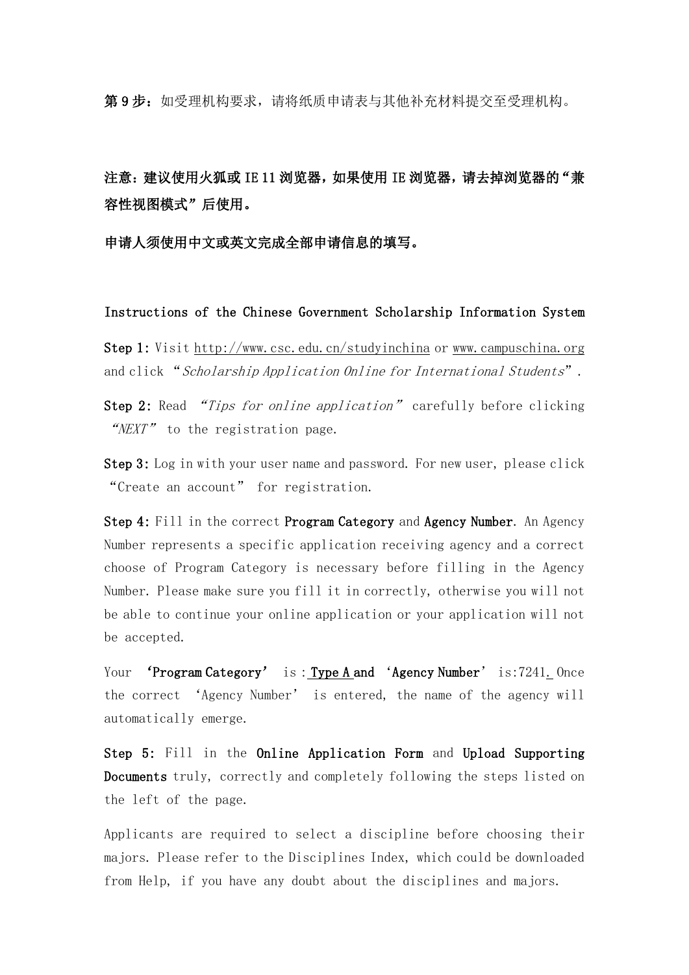第9步: 如受理机构要求,请将纸质申请表与其他补充材料提交至受理机构。

注意: 建议使用火狐或 IE 11 浏览器, 如果使用 IE 浏览器, 请去掉浏览器的"兼 容性视图模式"后使用。

申请人须使用中文或英文完成全部申请信息的填写。

Instructions of the Chinese Government Scholarship Information System

Step 1: Visit http://www.csc.edu.cn/studyinchina or [www.campuschina.org](http://www.campuschina.org/) and click "Scholarship Application Online for International Students".

Step 2: Read "Tips for online application" carefully before clicking "NEXT" to the registration page.

Step 3: Log in with your user name and password. For new user, please click "Create an account" for registration.

Step 4: Fill in the correct Program Category and Agency Number. An Agency Number represents a specific application receiving agency and a correct choose of Program Category is necessary before filling in the Agency Number. Please make sure you fill it in correctly, otherwise you will not be able to continue your online application or your application will not be accepted.

Your 'Program Category' is: Type A and 'Agency Number' is:7241. Once the correct 'Agency Number' is entered, the name of the agency will automatically emerge.

Step 5: Fill in the Online Application Form and Upload Supporting Documents truly, correctly and completely following the steps listed on the left of the page.

Applicants are required to select a discipline before choosing their majors. Please refer to the Disciplines Index, which could be downloaded from Help, if you have any doubt about the disciplines and majors.